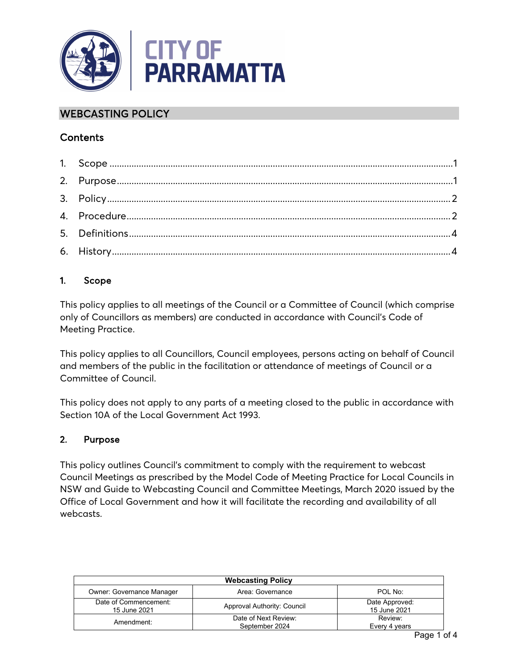

# WEBCASTING POLICY

## **Contents**

## <span id="page-0-0"></span>1. Scope

This policy applies to all meetings of the Council or a Committee of Council (which comprise only of Councillors as members) are conducted in accordance with Council's Code of Meeting Practice.

This policy applies to all Councillors, Council employees, persons acting on behalf of Council and members of the public in the facilitation or attendance of meetings of Council or a Committee of Council.

This policy does not apply to any parts of a meeting closed to the public in accordance with Section 10A of the Local Government Act 1993.

## <span id="page-0-1"></span>2. Purpose

This policy outlines Council's commitment to comply with the requirement to webcast Council Meetings as prescribed by the Model Code of Meeting Practice for Local Councils in NSW and Guide to Webcasting Council and Committee Meetings, March 2020 issued by the Office of Local Government and how it will facilitate the recording and availability of all webcasts.

| <b>Webcasting Policy</b>              |                                        |                                |  |  |
|---------------------------------------|----------------------------------------|--------------------------------|--|--|
| Owner: Governance Manager             | Area: Governance                       | POL No:                        |  |  |
| Date of Commencement:<br>15 June 2021 | Approval Authority: Council            | Date Approved:<br>15 June 2021 |  |  |
| Amendment:                            | Date of Next Review:<br>September 2024 | Review:<br>Every 4 years       |  |  |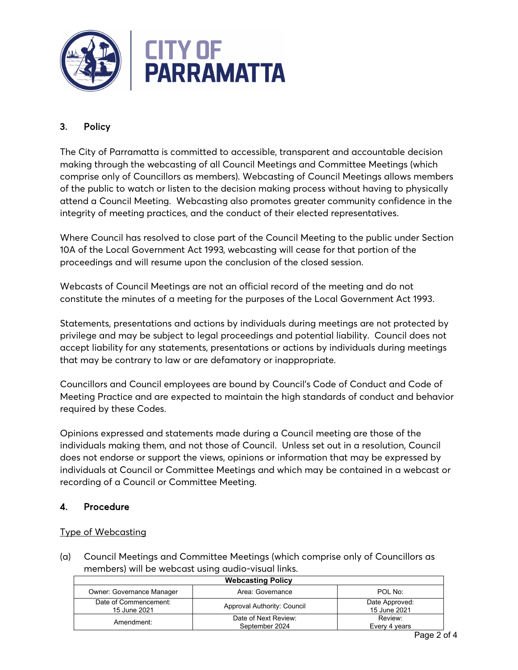

# <span id="page-1-0"></span>3. Policy

The City of Parramatta is committed to accessible, transparent and accountable decision making through the webcasting of all Council Meetings and Committee Meetings (which comprise only of Councillors as members). Webcasting of Council Meetings allows members of the public to watch or listen to the decision making process without having to physically attend a Council Meeting. Webcasting also promotes greater community confidence in the integrity of meeting practices, and the conduct of their elected representatives.

Where Council has resolved to close part of the Council Meeting to the public under Section 10A of the Local Government Act 1993*,* webcasting will cease for that portion of the proceedings and will resume upon the conclusion of the closed session.

Webcasts of Council Meetings are not an official record of the meeting and do not constitute the minutes of a meeting for the purposes of the Local Government Act 1993.

Statements, presentations and actions by individuals during meetings are not protected by privilege and may be subject to legal proceedings and potential liability. Council does not accept liability for any statements, presentations or actions by individuals during meetings that may be contrary to law or are defamatory or inappropriate.

Councillors and Council employees are bound by Council's Code of Conduct and Code of Meeting Practice and are expected to maintain the high standards of conduct and behavior required by these Codes.

Opinions expressed and statements made during a Council meeting are those of the individuals making them, and not those of Council. Unless set out in a resolution, Council does not endorse or support the views, opinions or information that may be expressed by individuals at Council or Committee Meetings and which may be contained in a webcast or recording of a Council or Committee Meeting.

### <span id="page-1-1"></span>4. Procedure

### Type of Webcasting

(a) Council Meetings and Committee Meetings (which comprise only of Councillors as members) will be webcast using audio-visual links.

| <b>Webcasting Policy</b>              |                             |                                |  |  |  |
|---------------------------------------|-----------------------------|--------------------------------|--|--|--|
| <b>Owner: Governance Manager</b>      | Area: Governance            | POL No:                        |  |  |  |
| Date of Commencement:<br>15 June 2021 | Approval Authority: Council | Date Approved:<br>15 June 2021 |  |  |  |
| Amendment:                            | Date of Next Review:        | Review:                        |  |  |  |
|                                       | September 2024              | Every 4 years                  |  |  |  |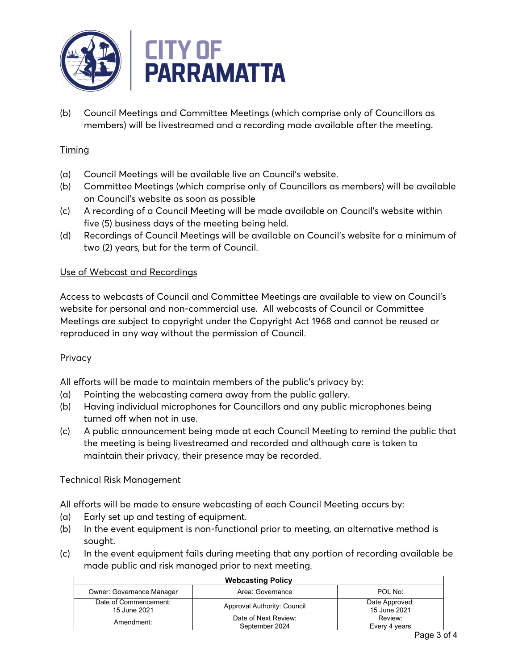

(b) Council Meetings and Committee Meetings (which comprise only of Councillors as members) will be livestreamed and a recording made available after the meeting.

## Timing

- (a) Council Meetings will be available live on Council's website.
- (b) Committee Meetings (which comprise only of Councillors as members) will be available on Council's website as soon as possible
- (c) A recording of a Council Meeting will be made available on Council's website within five (5) business days of the meeting being held.
- (d) Recordings of Council Meetings will be available on Council's website for a minimum of two (2) years, but for the term of Council.

### Use of Webcast and Recordings

Access to webcasts of Council and Committee Meetings are available to view on Council's website for personal and non-commercial use. All webcasts of Council or Committee Meetings are subject to copyright under the Copyright Act 1968 and cannot be reused or reproduced in any way without the permission of Council.

### **Privacy**

All efforts will be made to maintain members of the public's privacy by:

- (a) Pointing the webcasting camera away from the public gallery.
- (b) Having individual microphones for Councillors and any public microphones being turned off when not in use.
- (c) A public announcement being made at each Council Meeting to remind the public that the meeting is being livestreamed and recorded and although care is taken to maintain their privacy, their presence may be recorded.

### Technical Risk Management

All efforts will be made to ensure webcasting of each Council Meeting occurs by:

- (a) Early set up and testing of equipment.
- (b) In the event equipment is non-functional prior to meeting, an alternative method is sought.
- (c) In the event equipment fails during meeting that any portion of recording available be made public and risk managed prior to next meeting.

| <b>Webcasting Policy</b>              |                                        |                                      |  |  |
|---------------------------------------|----------------------------------------|--------------------------------------|--|--|
| Owner: Governance Manager             | Area: Governance                       | POL No:                              |  |  |
| Date of Commencement:<br>15 June 2021 | Approval Authority: Council            | Date Approved:<br>15 June 2021       |  |  |
| Amendment:                            | Date of Next Review:<br>September 2024 | Review <sup>.</sup><br>Every 4 years |  |  |